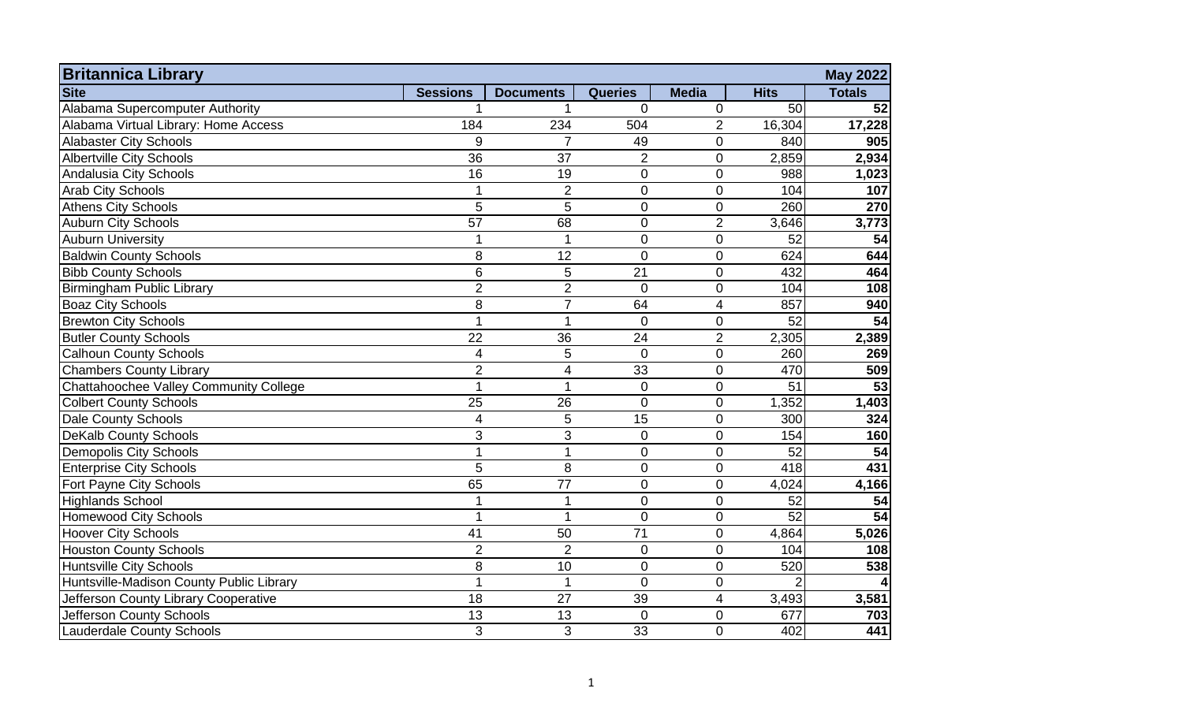| <b>Britannica Library</b><br><b>May 2022</b>  |                 |                          |                |                |                |                 |  |  |  |
|-----------------------------------------------|-----------------|--------------------------|----------------|----------------|----------------|-----------------|--|--|--|
| <b>Site</b>                                   | <b>Sessions</b> | <b>Documents</b>         | <b>Queries</b> | <b>Media</b>   | <b>Hits</b>    | <b>Totals</b>   |  |  |  |
| Alabama Supercomputer Authority               |                 |                          | $\overline{0}$ | 0              | 50             | 52              |  |  |  |
| Alabama Virtual Library: Home Access          | 184             | 234                      | 504            | $\overline{2}$ | 16,304         | 17,228          |  |  |  |
| <b>Alabaster City Schools</b>                 | 9               | $\overline{7}$           | 49             | $\overline{0}$ | 840            | 905             |  |  |  |
| <b>Albertville City Schools</b>               | 36              | 37                       | $\overline{2}$ | $\overline{0}$ | 2,859          | 2,934           |  |  |  |
| Andalusia City Schools                        | 16              | 19                       | $\overline{0}$ | 0              | 988            | 1,023           |  |  |  |
| <b>Arab City Schools</b>                      | 1               | $\overline{2}$           | $\overline{0}$ | $\overline{0}$ | 104            | 107             |  |  |  |
| <b>Athens City Schools</b>                    | 5               | 5                        | $\Omega$       | $\Omega$       | 260            | 270             |  |  |  |
| <b>Auburn City Schools</b>                    | 57              | 68                       | $\Omega$       | $\overline{2}$ | 3,646          | 3,773           |  |  |  |
| <b>Auburn University</b>                      | 1               | $\mathbf 1$              | $\overline{0}$ | $\Omega$       | 52             | 54              |  |  |  |
| <b>Baldwin County Schools</b>                 | 8               | 12                       | $\Omega$       | $\Omega$       | 624            | 644             |  |  |  |
| <b>Bibb County Schools</b>                    | $\,6$           | 5                        | 21             | $\overline{0}$ | 432            | 464             |  |  |  |
| <b>Birmingham Public Library</b>              | $\overline{2}$  | $\overline{2}$           | $\Omega$       | $\overline{0}$ | 104            | 108             |  |  |  |
| <b>Boaz City Schools</b>                      | 8               | $\overline{7}$           | 64             | $\overline{4}$ | 857            | 940             |  |  |  |
| <b>Brewton City Schools</b>                   | 1               | $\overline{1}$           | $\overline{0}$ | 0              | 52             | 54              |  |  |  |
| <b>Butler County Schools</b>                  | 22              | 36                       | 24             | $\overline{2}$ | 2,305          | 2,389           |  |  |  |
| <b>Calhoun County Schools</b>                 | $\overline{4}$  | 5                        | $\mathbf 0$    | $\overline{0}$ | 260            | 269             |  |  |  |
| <b>Chambers County Library</b>                | $\overline{2}$  | $\overline{\mathcal{A}}$ | 33             | 0              | 470            | 509             |  |  |  |
| <b>Chattahoochee Valley Community College</b> | $\mathbf{1}$    | 1                        | $\overline{0}$ | $\Omega$       | 51             | 53              |  |  |  |
| <b>Colbert County Schools</b>                 | 25              | 26                       | $\Omega$       | $\overline{0}$ | 1,352          | 1,403           |  |  |  |
| Dale County Schools                           | 4               | 5                        | 15             | $\overline{0}$ | 300            | 324             |  |  |  |
| <b>DeKalb County Schools</b>                  | 3               | 3                        | $\Omega$       | $\overline{0}$ | 154            | 160             |  |  |  |
| <b>Demopolis City Schools</b>                 | 1               | 1                        | $\mathbf 0$    | $\overline{0}$ | 52             | 54              |  |  |  |
| <b>Enterprise City Schools</b>                | 5               | 8                        | $\overline{0}$ | $\overline{0}$ | 418            | 431             |  |  |  |
| Fort Payne City Schools                       | 65              | 77                       | $\overline{0}$ | $\overline{0}$ | 4,024          | 4,166           |  |  |  |
| <b>Highlands School</b>                       |                 | 1                        | $\overline{0}$ | $\overline{0}$ | 52             | 54              |  |  |  |
| <b>Homewood City Schools</b>                  | 1               | 1                        | $\mathbf 0$    | 0              | 52             | $\overline{54}$ |  |  |  |
| <b>Hoover City Schools</b>                    | 41              | 50                       | 71             | 0              | 4,864          | 5,026           |  |  |  |
| <b>Houston County Schools</b>                 | $\overline{2}$  | $\mathbf 2$              | $\mathbf 0$    | $\overline{0}$ | 104            | 108             |  |  |  |
| <b>Huntsville City Schools</b>                | 8               | 10                       | $\overline{0}$ | $\overline{0}$ | 520            | 538             |  |  |  |
| Huntsville-Madison County Public Library      | 1               | $\mathbf 1$              | $\overline{0}$ | $\overline{0}$ | $\mathfrak{p}$ |                 |  |  |  |
| Jefferson County Library Cooperative          | 18              | 27                       | 39             | 4              | 3,493          | 3,581           |  |  |  |
| Jefferson County Schools                      | 13              | 13                       | $\mathbf 0$    | 0              | 677            | 703             |  |  |  |
| <b>Lauderdale County Schools</b>              | 3               | 3                        | 33             | $\Omega$       | 402            | 441             |  |  |  |